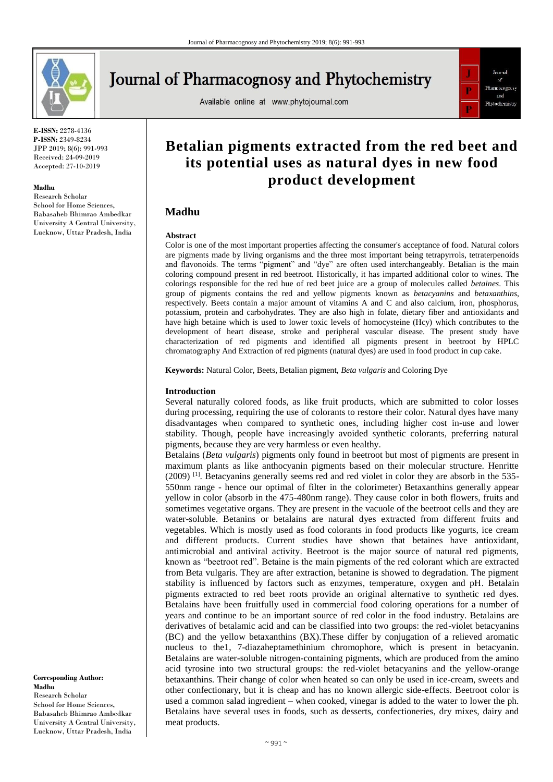

# **Journal of Pharmacognosy and Phytochemistry**

Available online at www.phytojournal.com



**E-ISSN:** 2278-4136 **P-ISSN:** 2349-8234 JPP 2019; 8(6): 991-993 Received: 24-09-2019 Accepted: 27-10-2019

#### **Madhu**

Research Scholar School for Home Sciences, Babasaheb Bhimrao Ambedkar University A Central University, Lucknow, Uttar Pradesh, India

# **Betalian pigments extracted from the red beet and its potential uses as natural dyes in new food product development**

# **Madhu**

#### **Abstract**

Color is one of the most important properties affecting the consumer's acceptance of food. Natural colors are pigments made by living organisms and the three most important being tetrapyrrols, tetraterpenoids and flavonoids. The terms "pigment" and "dye" are often used interchangeably. Betalian is the main coloring compound present in red beetroot. Historically, it has imparted additional color to wines. The colorings responsible for the red hue of red beet juice are a group of molecules called *betaines*. This group of pigments contains the red and yellow pigments known as *betacyanins* and *betaxanthins*, respectively. Beets contain a major amount of vitamins A and C and also calcium, iron, phosphorus, potassium, protein and carbohydrates. They are also high in folate, dietary fiber and antioxidants and have high betaine which is used to lower toxic levels of homocysteine (Hcy) which contributes to the development of heart disease, stroke and peripheral vascular disease. The present study have characterization of red pigments and identified all pigments present in beetroot by HPLC chromatography And Extraction of red pigments (natural dyes) are used in food product in cup cake.

**Keywords:** Natural Color, Beets, Betalian pigment, *Beta vulgaris* and Coloring Dye

#### **Introduction**

Several naturally colored foods, as like fruit products, which are submitted to color losses during processing, requiring the use of colorants to restore their color. Natural dyes have many disadvantages when compared to synthetic ones, including higher cost in-use and lower stability. Though, people have increasingly avoided synthetic colorants, preferring natural pigments, because they are very harmless or even healthy.

Betalains (*Beta vulgaris*) pigments only found in beetroot but most of pigments are present in maximum plants as like anthocyanin pigments based on their molecular structure. Henritte  $(2009)$ <sup>[1]</sup>. Betacyanins generally seems red and red violet in color they are absorb in the 535-550nm range - hence our optimal of filter in the colorimeter) Betaxanthins generally appear yellow in color (absorb in the 475-480nm range). They cause color in both flowers, fruits and sometimes vegetative organs. They are present in the vacuole of the beetroot cells and they are water-soluble. Betanins or betalains are natural dyes extracted from different fruits and vegetables. Which is mostly used as food colorants in food products like yogurts, ice cream and different products. Current studies have shown that betaines have antioxidant, antimicrobial and antiviral activity. Beetroot is the major source of natural red pigments, known as "beetroot red". Betaine is the main pigments of the red colorant which are extracted from Beta vulgaris. They are after extraction, betanine is showed to degradation. The pigment stability is influenced by factors such as enzymes, temperature, oxygen and pH. Betalain pigments extracted to red beet roots provide an original alternative to synthetic red dyes. Betalains have been fruitfully used in commercial food coloring operations for a number of years and continue to be an important source of red color in the food industry. Betalains are derivatives of betalamic acid and can be classified into two groups: the red-violet betacyanins (BC) and the yellow betaxanthins (BX).These differ by conjugation of a relieved aromatic nucleus to the1, 7-diazaheptamethinium chromophore, which is present in betacyanin. Betalains are water-soluble nitrogen-containing pigments, which are produced from the amino acid tyrosine into two structural groups: the red-violet betacyanins and the yellow-orange betaxanthins. Their change of color when heated so can only be used in ice-cream, sweets and other confectionary, but it is cheap and has no known allergic side-effects. Beetroot color is used a common salad ingredient – when cooked, vinegar is added to the water to lower the ph. Betalains have several uses in foods, such as desserts, confectioneries, dry mixes, dairy and meat products.

**Corresponding Author: Madhu** Research Scholar School for Home Sciences, Babasaheb Bhimrao Ambedkar University A Central University, Lucknow, Uttar Pradesh, India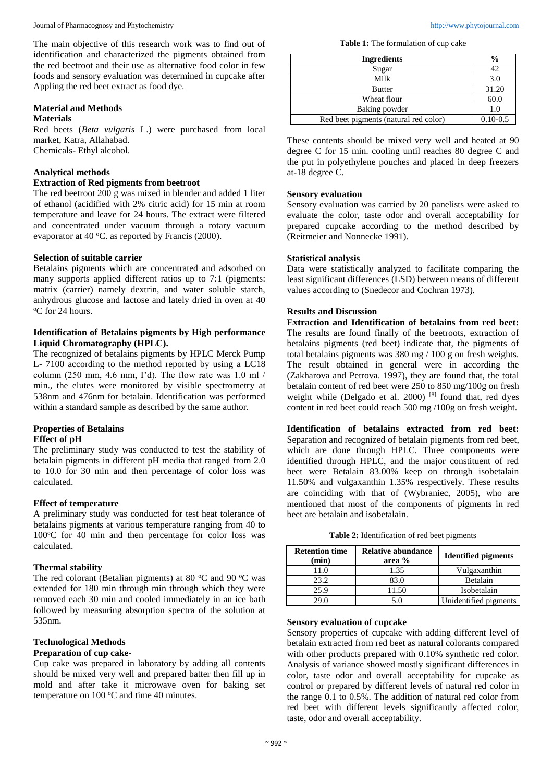Journal of Pharmacognosy and Phytochemistry [http://www.phytojournal.com](http://www.phytojournal.com/)

The main objective of this research work was to find out of identification and characterized the pigments obtained from the red beetroot and their use as alternative food color in few foods and sensory evaluation was determined in cupcake after Appling the red beet extract as food dye.

#### **Material and Methods Materials**

Red beets (*Beta vulgaris* L.) were purchased from local market, Katra, Allahabad. Chemicals- Ethyl alcohol.

# **Analytical methods**

## **Extraction of Red pigments from beetroot**

The red beetroot 200 g was mixed in blender and added 1 liter of ethanol (acidified with 2% citric acid) for 15 min at room temperature and leave for 24 hours. The extract were filtered and concentrated under vacuum through a rotary vacuum evaporator at 40  $^{\circ}$ C. as reported by Francis (2000).

## **Selection of suitable carrier**

Betalains pigments which are concentrated and adsorbed on many supports applied different ratios up to 7:1 (pigments: matrix (carrier) namely dextrin, and water soluble starch, anhydrous glucose and lactose and lately dried in oven at 40 <sup>o</sup>C for 24 hours.

## **Identification of Betalains pigments by High performance Liquid Chromatography (HPLC).**

The recognized of betalains pigments by HPLC Merck Pump L- 7100 according to the method reported by using a LC18 column (250 mm, 4.6 mm, I'd). The flow rate was  $1.0$  ml  $/$ min., the elutes were monitored by visible spectrometry at 538nm and 476nm for betalain. Identification was performed within a standard sample as described by the same author.

## **Properties of Betalains Effect of pH**

The preliminary study was conducted to test the stability of betalain pigments in different pH media that ranged from 2.0 to 10.0 for 30 min and then percentage of color loss was calculated.

## **Effect of temperature**

A preliminary study was conducted for test heat tolerance of betalains pigments at various temperature ranging from 40 to  $100^{\circ}$ C for 40 min and then percentage for color loss was calculated.

## **Thermal stability**

The red colorant (Betalian pigments) at 80  $^{\circ}$ C and 90  $^{\circ}$ C was extended for 180 min through min through which they were removed each 30 min and cooled immediately in an ice bath followed by measuring absorption spectra of the solution at 535nm.

# **Technological Methods**

## **Preparation of cup cake-**

Cup cake was prepared in laboratory by adding all contents should be mixed very well and prepared batter then fill up in mold and after take it microwave oven for baking set temperature on  $100^{\circ}$ C and time 40 minutes.

**Table 1:** The formulation of cup cake

| <b>Ingredients</b>                    | $\frac{0}{0}$ |
|---------------------------------------|---------------|
| Sugar                                 |               |
| Milk                                  | 3.0           |
| <b>Butter</b>                         | 31.20         |
| Wheat flour                           | 60.0          |
| Baking powder                         | 1.0           |
| Red beet pigments (natural red color) | $0.10 - 0.5$  |

These contents should be mixed very well and heated at 90 degree C for 15 min. cooling until reaches 80 degree C and the put in polyethylene pouches and placed in deep freezers at-18 degree C.

## **Sensory evaluation**

Sensory evaluation was carried by 20 panelists were asked to evaluate the color, taste odor and overall acceptability for prepared cupcake according to the method described by (Reitmeier and Nonnecke 1991).

## **Statistical analysis**

Data were statistically analyzed to facilitate comparing the least significant differences (LSD) between means of different values according to (Snedecor and Cochran 1973).

# **Results and Discussion**

**Extraction and Identification of betalains from red beet:**  The results are found finally of the beetroots, extraction of betalains pigments (red beet) indicate that, the pigments of total betalains pigments was 380 mg / 100 g on fresh weights. The result obtained in general were in according the (Zakharova and Petrova. 1997), they are found that, the total betalain content of red beet were 250 to 850 mg/100g on fresh weight while (Delgado et al. 2000)<sup>[8]</sup> found that, red dyes content in red beet could reach 500 mg /100g on fresh weight.

**Identification of betalains extracted from red beet:**  Separation and recognized of betalain pigments from red beet, which are done through HPLC. Three components were identified through HPLC, and the major constituent of red beet were Betalain 83.00% keep on through isobetalain 11.50% and vulgaxanthin 1.35% respectively. These results are coinciding with that of (Wybraniec, 2005), who are mentioned that most of the components of pigments in red beet are betalain and isobetalain.

| <b>Retention time</b><br>(min) | <b>Relative abundance</b><br>area % | <b>Identified pigments</b> |
|--------------------------------|-------------------------------------|----------------------------|
| 11.0                           | 1.35                                | Vulgaxanthin               |
| 23.2                           | 83.0                                | Betalain                   |
| 25.9                           | 11.50                               | Isobetalain                |
| 20 U                           | 5.0                                 | Unidentified pigments      |

## **Sensory evaluation of cupcake**

Sensory properties of cupcake with adding different level of betalain extracted from red beet as natural colorants compared with other products prepared with 0.10% synthetic red color. Analysis of variance showed mostly significant differences in color, taste odor and overall acceptability for cupcake as control or prepared by different levels of natural red color in the range 0.1 to 0.5%. The addition of natural red color from red beet with different levels significantly affected color, taste, odor and overall acceptability.